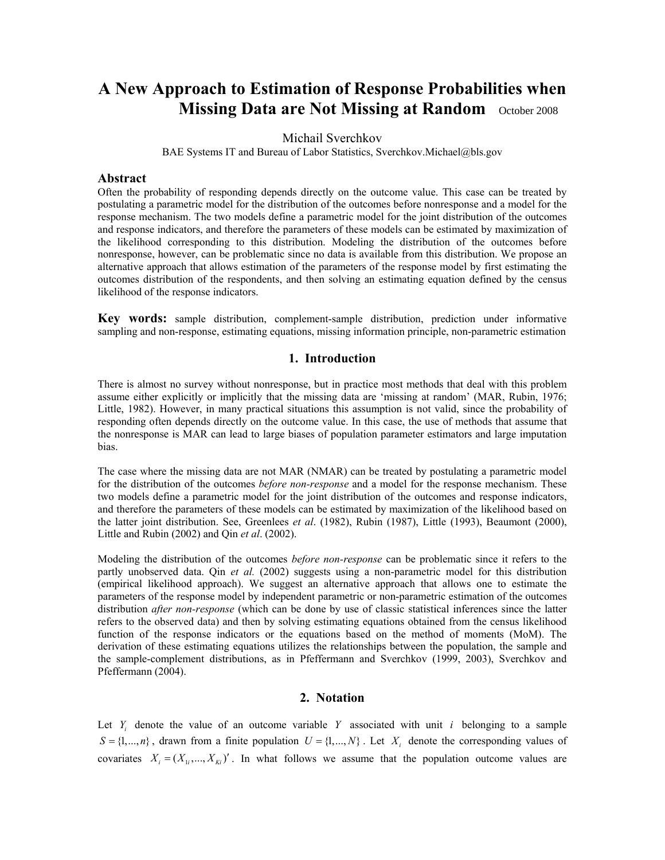# **A New Approach to Estimation of Response Probabilities when Missing Data are Not Missing at Random** October 2008

## Michail Sverchkov

BAE Systems IT and Bureau of Labor Statistics, Sverchkov.Michael@bls.gov

#### **Abstract**

Often the probability of responding depends directly on the outcome value. This case can be treated by postulating a parametric model for the distribution of the outcomes before nonresponse and a model for the response mechanism. The two models define a parametric model for the joint distribution of the outcomes and response indicators, and therefore the parameters of these models can be estimated by maximization of the likelihood corresponding to this distribution. Modeling the distribution of the outcomes before nonresponse, however, can be problematic since no data is available from this distribution. We propose an alternative approach that allows estimation of the parameters of the response model by first estimating the outcomes distribution of the respondents, and then solving an estimating equation defined by the census likelihood of the response indicators.

**Key words:** sample distribution, complement-sample distribution, prediction under informative sampling and non-response, estimating equations, missing information principle, non-parametric estimation

## **1. Introduction**

There is almost no survey without nonresponse, but in practice most methods that deal with this problem assume either explicitly or implicitly that the missing data are 'missing at random' (MAR, Rubin, 1976; Little, 1982). However, in many practical situations this assumption is not valid, since the probability of responding often depends directly on the outcome value. In this case, the use of methods that assume that the nonresponse is MAR can lead to large biases of population parameter estimators and large imputation bias.

The case where the missing data are not MAR (NMAR) can be treated by postulating a parametric model for the distribution of the outcomes *before non-response* and a model for the response mechanism. These two models define a parametric model for the joint distribution of the outcomes and response indicators, and therefore the parameters of these models can be estimated by maximization of the likelihood based on the latter joint distribution. See, Greenlees *et al*. (1982), Rubin (1987), Little (1993), Beaumont (2000), Little and Rubin (2002) and Qin *et al*. (2002).

Modeling the distribution of the outcomes *before non-response* can be problematic since it refers to the partly unobserved data. Qin *et al.* (2002) suggests using a non-parametric model for this distribution (empirical likelihood approach). We suggest an alternative approach that allows one to estimate the parameters of the response model by independent parametric or non-parametric estimation of the outcomes distribution *after non-response* (which can be done by use of classic statistical inferences since the latter refers to the observed data) and then by solving estimating equations obtained from the census likelihood function of the response indicators or the equations based on the method of moments (MoM). The derivation of these estimating equations utilizes the relationships between the population, the sample and the sample-complement distributions, as in Pfeffermann and Sverchkov (1999, 2003), Sverchkov and Pfeffermann (2004).

## **2. Notation**

Let  $Y_i$  denote the value of an outcome variable  $Y$  associated with unit  $i$  belonging to a sample  $S = \{1, ..., n\}$ , drawn from a finite population  $U = \{1, ..., N\}$ . Let  $X_i$  denote the corresponding values of covariates  $X_i = (X_{1i},..., X_{ki})'$ . In what follows we assume that the population outcome values are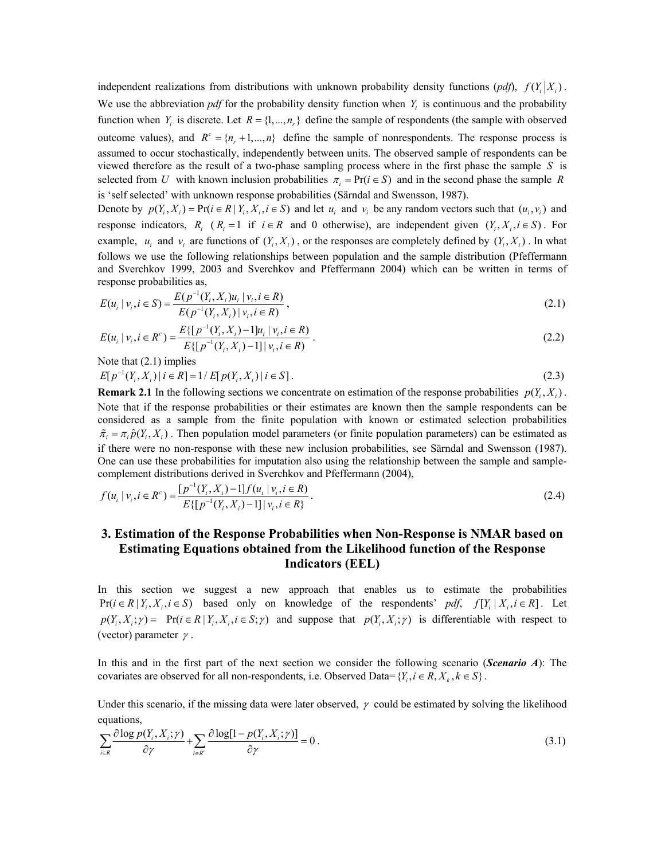independent realizations from distributions with unknown probability density functions  $(pdf)$ ,  $f(Y_i|X_i)$ . We use the abbreviation  $pdf$  for the probability density function when  $Y_i$  is continuous and the probability function when *Y<sub>i</sub>* is discrete. Let  $R = \{1, ..., n_n\}$  define the sample of respondents (the sample with observed outcome values), and  $R^c = \{n_r + 1, ..., n\}$  define the sample of nonrespondents. The response process is assumed to occur stochastically, independently between units. The observed sample of respondents can be viewed therefore as the result of a two-phase sampling process where in the first phase the sample *S* is selected from *U* with known inclusion probabilities  $\pi_i = Pr(i \in S)$  and in the second phase the sample *R* is 'self selected' with unknown response probabilities (Särndal and Swensson, 1987).

Denote by  $p(Y_i, X_i) = Pr(i \in R | Y_i, X_i, i \in S)$  and let  $u_i$  and  $v_i$  be any random vectors such that  $(u_i, v_i)$  and response indicators,  $R_i$  ( $R_i = 1$  if  $i \in R$  and 0 otherwise), are independent given  $(Y_i, X_i, i \in S)$ . For example,  $u_i$  and  $v_i$  are functions of  $(Y_i, X_i)$ , or the responses are completely defined by  $(Y_i, X_i)$ . In what follows we use the following relationships between population and the sample distribution (Pfeffermann and Sverchkov 1999, 2003 and Sverchkov and Pfeffermann 2004) which can be written in terms of response probabilities as, 1

$$
E(u_i | v_i, i \in S) = \frac{E(p^{-1}(Y_i, X_i)u_i | v_i, i \in R)}{E(p^{-1}(Y_i, X_i) | v_i, i \in R)},
$$
\n(2.1)

$$
E(u_i | v_i, i \in R^c) = \frac{E\{[p^{-1}(Y_i, X_i) - 1]u_i | v_i, i \in R\}}{E\{[p^{-1}(Y_i, X_i) - 1] | v_i, i \in R\}}.
$$
\n(2.2)

Note that  $(2.1)$  implies

$$
E[p^{-1}(Y_i, X_i) | i \in R] = 1/E[p(Y_i, X_i) | i \in S].
$$
\n(2.3)

**Remark 2.1** In the following sections we concentrate on estimation of the response probabilities  $p(Y, X_i)$ . Note that if the response probabilities or their estimates are known then the sample respondents can be considered as a sample from the finite population with known or estimated selection probabilities  $\tilde{\pi}_i = \pi_i \hat{p}(Y_i, X_i)$ . Then population model parameters (or finite population parameters) can be estimated as if there were no non-response with these new inclusion probabilities, see Särndal and Swensson (1987). One can use these probabilities for imputation also using the relationship between the sample and samplecomplement distributions derived in Sverchkov and Pfeffermann (2004),

$$
f(u_i | v_i, i \in R^c) = \frac{[p^{-1}(Y_i, X_i) - 1]f(u_i | v_i, i \in R)}{E\{[p^{-1}(Y_i, X_i) - 1] | v_i, i \in R\}}.
$$
\n(2.4)

## **3. Estimation of the Response Probabilities when Non-Response is NMAR based on Estimating Equations obtained from the Likelihood function of the Response Indicators (EEL)**

In this section we suggest a new approach that enables us to estimate the probabilities  $Pr(i \in R | Y_i, X_i, i \in S)$  based only on knowledge of the respondents' *pdf*,  $f[Y_i | X_i, i \in R]$ . Let  $p(Y_i, X_i; \gamma) = Pr(i \in R | Y_i, X_i; i \in S; \gamma)$  and suppose that  $p(Y_i, X_i; \gamma)$  is differentiable with respect to (vector) parameter  $\gamma$ .

In this and in the first part of the next section we consider the following scenario (*Scenario A*): The covariates are observed for all non-respondents, i.e. Observed Data= $\{Y_i, i \in R, X_k, k \in S\}$ .

Under this scenario, if the missing data were later observed,  $\gamma$  could be estimated by solving the likelihood equations,

$$
\sum_{i\in R} \frac{\partial \log p(Y_i, X_i; \gamma)}{\partial \gamma} + \sum_{i\in R^c} \frac{\partial \log[1 - p(Y_i, X_i; \gamma)]}{\partial \gamma} = 0.
$$
\n(3.1)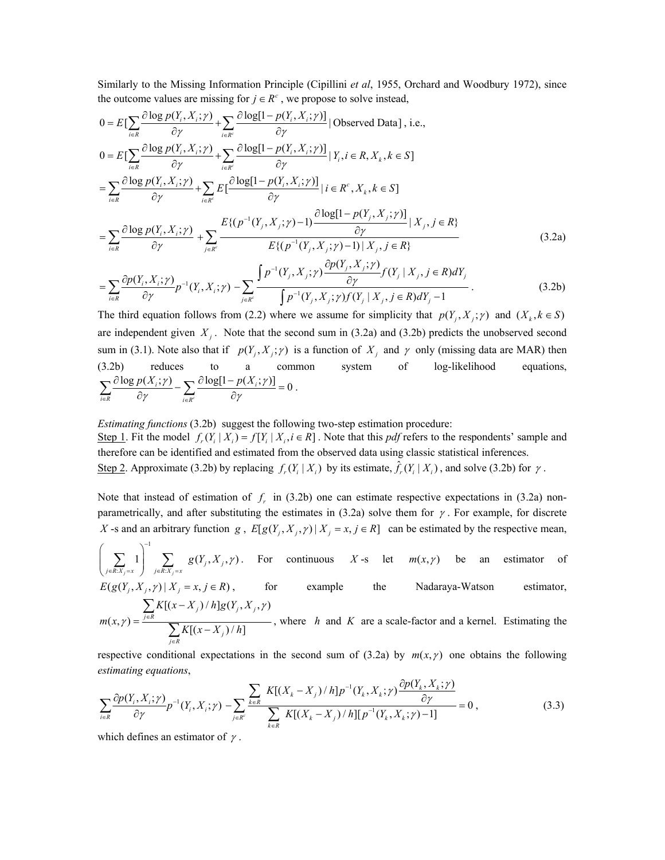Similarly to the Missing Information Principle (Cipillini *et al*, 1955, Orchard and Woodbury 1972), since the outcome values are missing for  $j \in R^c$ , we propose to solve instead,

$$
0 = E\left[\sum_{i\in R} \frac{\partial \log p(Y_i, X_i; \gamma)}{\partial \gamma} + \sum_{i\in R^c} \frac{\partial \log[1 - p(Y_i, X_i; \gamma)]}{\partial \gamma} | \text{Observed Data} \right], i.e.,
$$
  
\n
$$
0 = E\left[\sum_{i\in R} \frac{\partial \log p(Y_i, X_i; \gamma)}{\partial \gamma} + \sum_{i\in R^c} \frac{\partial \log[1 - p(Y_i, X_i; \gamma)]}{\partial \gamma} | Y_i, i \in R, X_k, k \in S \right]
$$
  
\n
$$
= \sum_{i\in R} \frac{\partial \log p(Y_i, X_i; \gamma)}{\partial \gamma} + \sum_{i\in R^c} E\left[\frac{\partial \log[1 - p(Y_i, X_i; \gamma)]}{\partial \gamma} | i \in R^c, X_k, k \in S \right]
$$
  
\n
$$
= \sum_{i\in R} \frac{\partial \log p(Y_i, X_i; \gamma)}{\partial \gamma} + \sum_{j\in R^c} \frac{E\{(p^{-1}(Y_j, X_j; \gamma) - 1) \frac{\partial \log[1 - p(Y_j, X_j; \gamma)]}{\partial \gamma} | X_j, j \in R\}}{E\{(p^{-1}(Y_j, X_j; \gamma) - 1) | X_j, j \in R\}}
$$
  
\n
$$
= \sum_{i\in R} \frac{\partial \log p(Y_i, X_i; \gamma)}{\partial \gamma} + \sum_{j\in R^c} \frac{F\left\{(p^{-1}(Y_j, X_j; \gamma) - 1) | X_j, j \in R\} \right\}}{F\left\{(p^{-1}(Y_j, X_j; \gamma) - 1) | X_j, j \in R\} \right\}}
$$
(3.2a)

$$
=\sum_{i\in R}\frac{\partial p(Y_i,X_i;\gamma)}{\partial \gamma}p^{-1}(Y_i,X_i;\gamma)-\sum_{j\in R^c}\frac{\int p^{-1}(Y_j,X_j;\gamma)\frac{\partial p(z_j,\gamma,\gamma)}{\partial \gamma}f(Y_j\mid X_j,j\in R)dY_j}{\int p^{-1}(Y_j,X_j;\gamma)f(Y_j\mid X_j,j\in R)dY_j-1}.
$$
\n(3.2b)

The third equation follows from (2.2) where we assume for simplicity that  $p(Y_i, X_i; \gamma)$  and  $(X_k, k \in S)$ are independent given  $X_i$ . Note that the second sum in (3.2a) and (3.2b) predicts the unobserved second sum in (3.1). Note also that if  $p(Y_i, X_j; \gamma)$  is a function of  $X_i$  and  $\gamma$  only (missing data are MAR) then (3.2b) reduces to a common system of log-likelihood equations,  $\frac{\log p(X_i; \gamma)}{\partial \gamma} - \sum_{i = p^c} \frac{\partial \log[1 - p(X_i; \gamma)]}{\partial \gamma} = 0$  $\sum_{i}$   $\sum_{i}$   $\sum_{i}$   $\sum_{j}$   $\sum_{i}$   $\sum_{i}$   $\sum_{i}$   $\sum_{i}$   $\sum_{i}$   $\sum_{i}$  $i \in R$  *i*  $\in R$  $p(X_i; \gamma)$   $\longrightarrow$   $\partial \log[1-p(X_i; \gamma)]$  $\sum_{i\in R}\frac{\partial \log p(X_i;\gamma)}{\partial \gamma} - \sum_{i\in R^c}\frac{\partial \log[1-p(X_i;\gamma)]}{\partial \gamma} = 0.$ 

#### *Estimating functions* (3.2b) suggest the following two-step estimation procedure:

Step 1. Fit the model  $f_r(Y_i | X_i) = f[Y_i | X_i, i \in R]$ . Note that this *pdf* refers to the respondents' sample and therefore can be identified and estimated from the observed data using classic statistical inferences. Step 2. Approximate (3.2b) by replacing  $f_r(Y_i | X_i)$  by its estimate,  $\hat{f}_r(Y_i | X_i)$ , and solve (3.2b) for  $\gamma$ .

Note that instead of estimation of  $f<sub>r</sub>$  in (3.2b) one can estimate respective expectations in (3.2a) nonparametrically, and after substituting the estimates in (3.2a) solve them for  $\gamma$ . For example, for discrete *X* -s and an arbitrary function *g*,  $E[g(Y_j, X_j, \gamma) | X_j = x, j \in R]$  can be estimated by the respective mean,

$$
\left(\sum_{j\in R:X_j=x}1\right)^{-1}\sum_{j\in R:X_j=x}g(Y_j,X_j,\gamma).
$$
 For continuous  $X$ -s let  $m(x,\gamma)$  be an estimator of  $F(x|X,y) \to Y$  with  $x \to \infty$ .

$$
E(g(Y_j, X_j, \gamma) | X_j = x, j \in R), \qquad \text{for} \qquad \text{example} \qquad \text{the} \qquad \text{Nadaraya-Watson} \qquad \text{estimator},
$$
  

$$
\sum K[(x - X_j) / h]g(Y_j, X_j, \gamma)
$$

$$
m(x, \gamma) = \frac{\sum_{j \in R} K[(x - X_j)/h]}{\sum_{j \in R} K[(x - X_j)/h]}
$$
, where *h* and *K* are a scale-factor and a kernel. Estimating the

respective conditional expectations in the second sum of  $(3.2a)$  by  $m(x, \gamma)$  one obtains the following *estimating equations*,

$$
\sum_{i \in R} \frac{\partial p(Y_i, X_i; \gamma)}{\partial \gamma} p^{-1}(Y_i, X_i; \gamma) - \sum_{j \in R'} \frac{\sum_{k \in R} K[(X_k - X_j)/h] p^{-1}(Y_k, X_k; \gamma) \frac{\partial p(Y_k, X_k; \gamma)}{\partial \gamma}}{\sum_{k \in R} K[(X_k - X_j)/h][p^{-1}(Y_k, X_k; \gamma) - 1]} = 0,
$$
\n(3.3)

which defines an estimator of  $\gamma$ .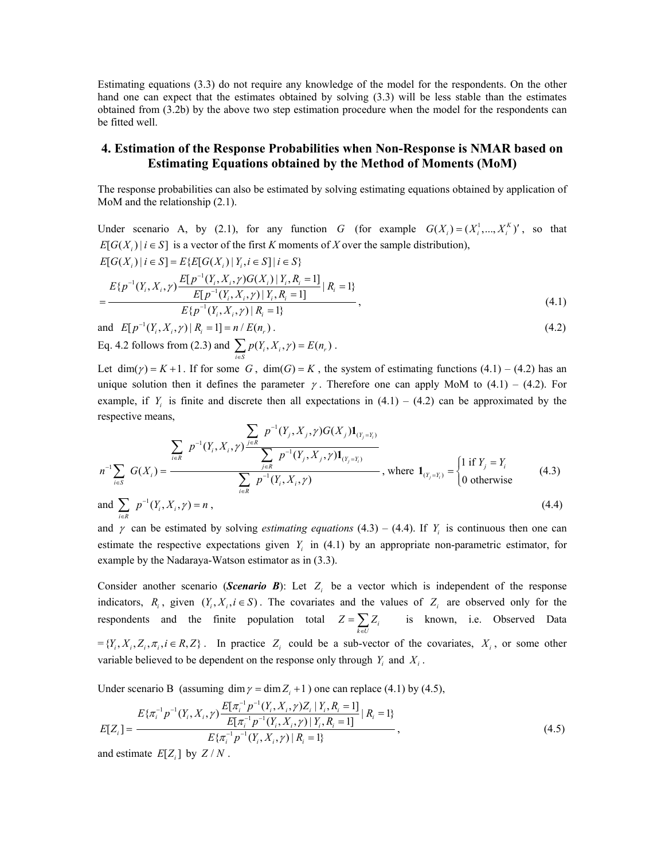Estimating equations (3.3) do not require any knowledge of the model for the respondents. On the other hand one can expect that the estimates obtained by solving (3.3) will be less stable than the estimates obtained from (3.2b) by the above two step estimation procedure when the model for the respondents can be fitted well.

## **4. Estimation of the Response Probabilities when Non-Response is NMAR based on Estimating Equations obtained by the Method of Moments (MoM)**

The response probabilities can also be estimated by solving estimating equations obtained by application of MoM and the relationship (2.1).

Under scenario A, by (2.1), for any function *G* (for example  $G(X_i) = (X_i^1, ..., X_i^K)'$ , so that  $E[G(X_i) | i \in S]$  is a vector of the first *K* moments of *X* over the sample distribution),  $E[G(X_i) | i \in S] = E\{E[G(X_i) | Y_i, i \in S] | i \in S\}$ 

$$
= \frac{E\{p^{-1}(Y_i, X_i, \gamma)\frac{E[p^{-1}(Y_i, X_i, \gamma)G(X_i) \mid Y_i, R_i = 1]}{E[p^{-1}(Y_i, X_i, \gamma)\mid Y_i, R_i = 1]} \mid R_i = 1\}}{E\{p^{-1}(Y_i, X_i, \gamma)\mid R_i = 1\}},
$$
\n(4.1)

and  $E[p^{-1}(Y_i, X_i, \gamma) | R_i = 1] = n / E(n_i)$ . (4.2) Eq. 4.2 follows from (2.3) and  $\sum_{i \in S} p(Y_i, X_i, \gamma) = E(n_r)$  $p(Y_i, X_i, \gamma) = E(n)$  $\sum_{i\in S} p(Y_i, X_i, \gamma) = E(n_r)$ .

Let dim( $\gamma$ ) = K + 1. If for some G, dim(G) = K, the system of estimating functions (4.1) – (4.2) has an unique solution then it defines the parameter  $\gamma$ . Therefore one can apply MoM to (4.1) – (4.2). For example, if  $Y_i$  is finite and discrete then all expectations in  $(4.1) - (4.2)$  can be approximated by the respective means,

$$
n^{-1} \sum_{i \in S} G(X_i) = \frac{\sum_{i \in R} p^{-1}(Y_i, X_i, \gamma) \frac{\sum_{j \in R} p^{-1}(Y_j, X_j, \gamma) G(X_j) \mathbf{1}_{(Y_j = Y_i)}}{\sum_{i \in R} p^{-1}(Y_i, X_i, \gamma)} \cdot \text{where } \mathbf{1}_{(Y_j = Y_i)} = \begin{cases} 1 \text{ if } Y_j = Y_i \\ 0 \text{ otherwise} \end{cases} (4.3)
$$

and 
$$
\sum_{i \in R} p^{-1}(Y_i, X_i, \gamma) = n
$$
, (4.4)

and  $\gamma$  can be estimated by solving *estimating equations* (4.3) – (4.4). If  $Y_i$  is continuous then one can estimate the respective expectations given  $Y_i$  in (4.1) by an appropriate non-parametric estimator, for example by the Nadaraya-Watson estimator as in (3.3).

Consider another scenario (*Scenario B*): Let  $Z_i$  be a vector which is independent of the response indicators,  $R_i$ , given  $(Y_i, X_i, i \in S)$ . The covariates and the values of  $Z_i$  are observed only for the respondents and the finite population total  $Z = \sum_{k \in U} Z_i$ *Z Z*  $=\sum_{k\in U} Z_i$  is known, i.e. Observed Data  $=\{Y_i, X_i, Z_i, \pi_i, i \in R, Z\}$ . In practice  $Z_i$  could be a sub-vector of the covariates,  $X_i$ , or some other variable believed to be dependent on the response only through  $Y_i$  and  $X_i$ .

Under scenario B (assuming dim  $\gamma = \dim Z_i + 1$ ) one can replace (4.1) by (4.5),

$$
E[Z_i] = \frac{E\{\pi_i^{-1}p^{-1}(Y_i, X_i, \gamma)\frac{E[\pi_i^{-1}p^{-1}(Y_i, X_i, \gamma)Z_i | Y_i, R_i = 1]}{E[\pi_i^{-1}p^{-1}(Y_i, X_i, \gamma)|Y_i, R_i = 1]} | R_i = 1\}}{E\{\pi_i^{-1}p^{-1}(Y_i, X_i, \gamma)|R_i = 1\}},
$$
\n(4.5)

and estimate  $E[Z_i]$  by  $Z/N$ .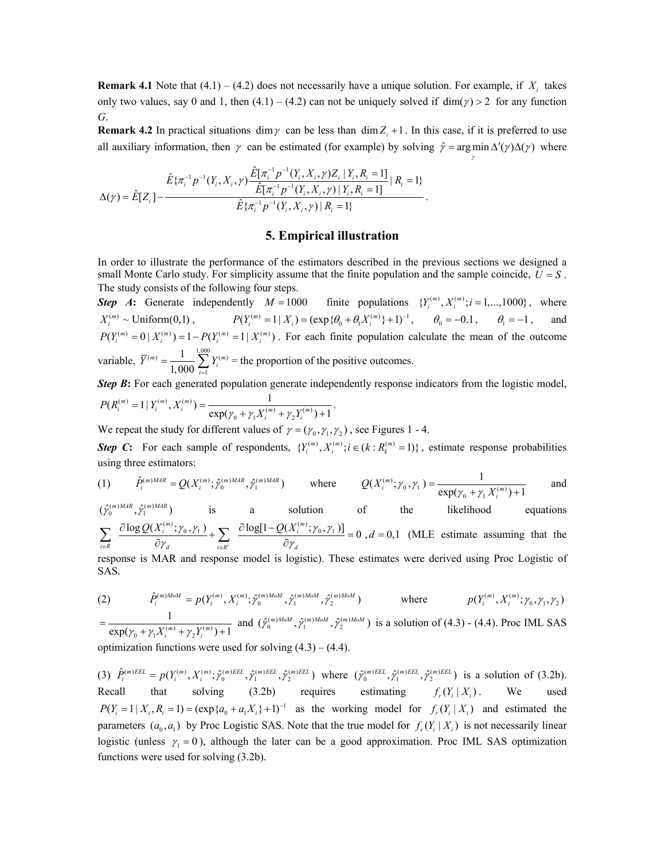**Remark 4.1** Note that  $(4.1) - (4.2)$  does not necessarily have a unique solution. For example, if  $X_i$  takes only two values, say 0 and 1, then  $(4.1) - (4.2)$  can not be uniquely solved if dim( $\gamma$ ) > 2 for any function *G*.

**Remark 4.2** In practical situations dim  $\gamma$  can be less than dim  $Z_i + 1$ . In this case, if it is preferred to use all auxiliary information, then  $\gamma$  can be estimated (for example) by solving  $\hat{\gamma} = \arg \min \Delta'(\gamma) \Delta(\gamma)$  where

γ

$$
\Delta(\gamma) = \hat{E}[Z_i] - \frac{\hat{E}\{\pi_i^{-1}p^{-1}(Y_i, X_i, \gamma)\frac{\hat{E}[\pi_i^{-1}p^{-1}(Y_i, X_i, \gamma)Z_i | Y_i, R_i = 1]}{\hat{E}[\pi_i^{-1}p^{-1}(Y_i, X_i, \gamma) | Y_i, R_i = 1]} | R_i = 1 \}}{\hat{E}\{\pi_i^{-1}p^{-1}(Y_i, X_i, \gamma) | R_i = 1 \}}.
$$

#### **5. Empirical illustration**

In order to illustrate the performance of the estimators described in the previous sections we designed a small Monte Carlo study. For simplicity assume that the finite population and the sample coincide,  $U = S$ . The study consists of the following four steps.

*Step A*: Generate independently  $M = 1000$  finite populations  $\{Y_i^{(m)}, X_i^{(m)}; i = 1, \dots, 1000\}$ , where  $X_i^{(m)} \sim \text{Uniform}(0,1)$ ,  $P(Y_i^{(m)} = 1 | X_i) = (\exp{\{\theta_0 + \theta_1 X_i^{(m)}\} + 1\}}^{-1}, \quad \theta_0 = -0.1, \quad \theta_1 = -1$ , and  $P(Y_i^{(m)} = 0 \mid X_i^{(m)} ) = 1 - P(Y_i^{(m)} = 1 \mid X_i^{(m)} )$ . For each finite population calculate the mean of the outcome variable,  $\overline{Y}^{(m)} = \frac{1}{1.000} \sum_{i=1}^{1,000} Y_i^{(m)}$ 1 1 1,000  $j^{(m)} = \frac{1}{1,000} \sum_{i=1}^{n} Y_i^{(m)}$  $Y^{(m)} = \frac{1}{1.222} \sum_{i=1}^{n} Y_i$  $=\frac{1}{1,000} \sum_{i=1}^{1} Y_i^{(m)}$  = the proportion of the positive outcomes.

**Step B:** For each generated population generate independently response indicators from the logistic model,  $(R_i^{(m)} = 1 | Y_i^{(m)}, X_i^{(m)}) = \frac{1}{\exp(\gamma_0 + \gamma_1 X_i^{(m)} + \gamma_2 Y_i^{(m)}) + 1}$  $P(R_i^{(m)} = 1 | Y_i^{(m)}, X_i^{(m)}) = \frac{1}{\exp(\gamma_0 + \gamma_1 X_i^{(m)} + \gamma_2 Y_i^{(m)}) + 1}.$ 

We repeat the study for different values of  $\gamma = (\gamma_0, \gamma_1, \gamma_2)$ , see Figures 1 - 4.

*Step C*: For each sample of respondents,  $\{Y_i^{(m)}, X_i^{(m)}; i \in (k : R_k^{(m)} = 1)\}$ , estimate response probabilities using three estimators:

(1) 
$$
\hat{P}_i^{(m)MAP} = Q(X_i^{(m)}; \hat{\gamma}_0^{(m)MAR}, \hat{\gamma}_1^{(m)MAR}) \quad \text{where} \quad Q(X_i^{(m)}; \gamma_0, \gamma_1) = \frac{1}{\exp(\gamma_0 + \gamma_1 X_i^{(m)}) + 1} \quad \text{and}
$$

 $(\hat{\gamma}_{0}^{(m)MAR}, \hat{\gamma}_{1}^{(m)MAR})$ is a solution of the likelihood equations  $\frac{\log Q(X_i^{(m)}; \gamma_0, \gamma_1)}{\partial \gamma_1} + \sum_{i \in P^c} \frac{\partial \log[1 - Q(X_i^{(m)}; \gamma_0, \gamma_1)]}{\partial \gamma_1} = 0, d = 0,1$  $\hat{\mathcal{C}}_i^{(m)}$ ;  $\gamma_0$ ,  $\gamma_1$  )  $\sum$   $\partial \log[1-Q(X_i^{(m)})]$  $\left\{ \begin{array}{ccc} i \in R & & O \end{array} \right\}$  $\underline{Q(X_i^{(m)}; \gamma_0, \gamma_1)}$  +  $\sum \frac{\partial \log[1 - Q(X_i^{(m)}; \gamma_0, \gamma_1)]}{\partial \log[1 - Q(X_i^{(m)}; \gamma_0, \gamma_1)]}$  = 0, d  $\overline{c} = R$   $\overline{C} \gamma_d$   $\overline{C} = R^c$   $\overline{C} \gamma$  $\sum_{i \in \mathbb{R}} \frac{\partial \log Q(X_i^{(m)}; \gamma_0, \gamma_1)}{\partial \gamma_d} + \sum_{i \in \mathbb{R}^c} \frac{\partial \log[1 - Q(X_i^{(m)}; \gamma_0, \gamma_1)]}{\partial \gamma_d} = 0, d = 0, 1$  (MLE estimate assuming that the response is MAR and response model is logistic). These estimates were derived using Proc Logistic of

SAS.

(2) 
$$
\hat{P}_i^{(m)M o M} = p(Y_i^{(m)}, X_i^{(m)}; \hat{\gamma}_0^{(m)M o M}, \hat{\gamma}_1^{(m)M o M}, \hat{\gamma}_2^{(m)M o M})
$$
 where 
$$
p(Y_i^{(m)}, X_i^{(m)}; \gamma_0, \gamma_1, \gamma_2)
$$

 $\gamma_0 + \gamma_1 X_i^{(m)} + \gamma_2 Y_i^{(m)}$  $=\frac{1}{\exp(\gamma_0 + \gamma_1 X_i^{(m)} + \gamma_2 Y_i^{(m)})+1}$  and  $(\hat{\gamma}_0^{(m)M o M}, \hat{\gamma}_1^{(m)M o M}, \hat{\gamma}_2^{(m)M o M})$  is a solution of (4.3) - (4.4). Proc IML SAS optimization functions were used for solving  $(4.3) - (4.4)$ .

(3)  $\hat{P}_{i}^{(m)EEL} = p(Y_i^{(m)}, X_i^{(m)}; \hat{\gamma}_0^{(m)EEL}, \hat{\gamma}_1^{(m)EEL}, \hat{\gamma}_2^{(m)EEL})$  where  $(\hat{\gamma}_0^{(m)EEL}, \hat{\gamma}_1^{(m)EEL}, \hat{\gamma}_2^{(m)EEL})$  is a solution of (3.2b). Recall that solving (3.2b) requires estimating  $f_r(Y_i | X_i)$ . We used  $P(Y_i = 1 | X_i, R_i = 1) = (\exp{\{a_0 + a_1 X_i\}} + 1)^{-1}$  as the working model for  $f_r(Y_i | X_i)$  and estimated the parameters  $(a_0, a_1)$  by Proc Logistic SAS. Note that the true model for  $f_r(Y_i | X_i)$  is not necessarily linear logistic (unless  $\gamma_1 = 0$ ), although the later can be a good approximation. Proc IML SAS optimization functions were used for solving (3.2b).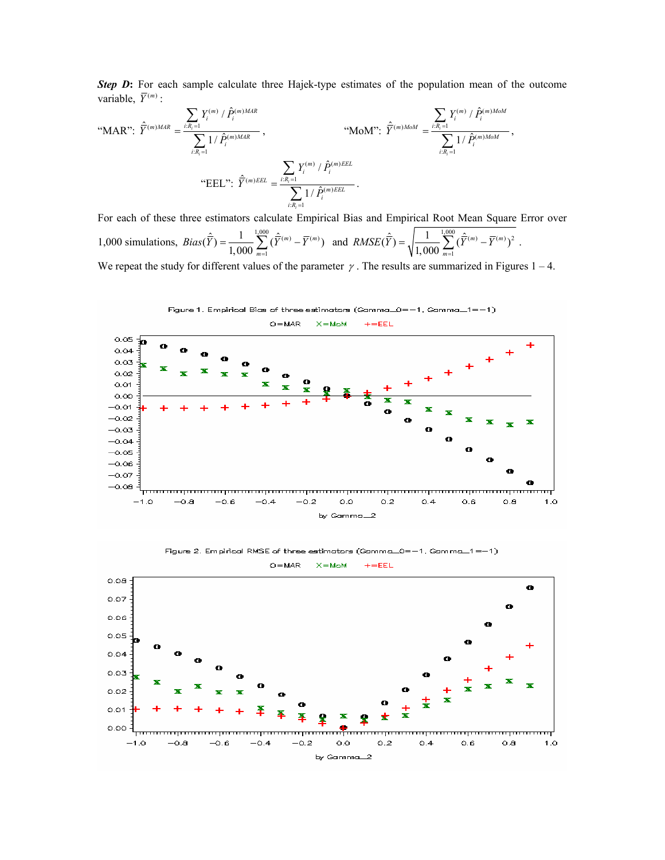*Step D***:** For each sample calculate three Hajek-type estimates of the population mean of the outcome variable,  $\overline{Y}^{(m)}$  :

$$
\text{``MAP'': } \hat{\overline{Y}}^{(m)MAR} = \frac{\sum\limits_{i: R_i = 1} Y_i^{(m)} / \hat{P}_i^{(m)MAR}}{\sum\limits_{i: R_i = 1} 1 / \hat{P}_i^{(m)MAR}} , \qquad \text{``MoM'': } \hat{\overline{Y}}^{(m)MoM} = \frac{\sum\limits_{i: R_i = 1} Y_i^{(m)} / \hat{P}_i^{(m)MoM}}{\sum\limits_{i: R_i = 1} 1 / \hat{P}_i^{(m)MoM}} ,
$$
\n
$$
\text{``EEL'': } \hat{\overline{Y}}^{(m)EEL} = \frac{\sum\limits_{i: R_i = 1} Y_i^{(m)} / \hat{P}_i^{(m)EEL}}{\sum\limits_{i: R_i = 1} 1 / \hat{P}_i^{(m)EEL}} .
$$

For each of these three estimators calculate Empirical Bias and Empirical Root Mean Square Error over 1,000 simulations,  $Bias(\hat{\overline{Y}}) = \frac{1}{\sqrt{2\pi} \cdot 2} \sum_{n=1}^{1,000} (\hat{\overline{Y}}^{(m)} - \overline{Y}^{(m)}$  $(\hat{\overline{Y}}) = \frac{1}{1,000} \sum_{m=1}^{1,000} (\hat{\overline{Y}}^{(m)} - \overline{Y}^{(m)})$ *m Bias*  $(\overline{Y}) = \frac{1}{1.288} \sum_{x} (\overline{Y}^{(m)} - \overline{Y})$  $=\frac{1}{1,000}\sum_{m=1}^{1,000}(\hat{\bar{Y}}^{(m)}-\bar{Y}^{(m)})$  and  $RMSE(\hat{\bar{Y}})=\sqrt{\frac{1}{1,000}\sum_{m=1}^{1,000}(\hat{\bar{Y}}^{(m)}-\bar{Y}^{(m)})^2}$  $(\hat{\overline{Y}}) = \sqrt{\frac{1}{1,000} \sum_{m=1}^{1,000} (\hat{\overline{Y}}^{(m)} - \overline{Y}^{(m)})}$ *m*  $RMSE(Y) = \sqrt{\frac{1}{1.2000}} \sum_{x} (Y^{(m)} - Y)$  $=\sqrt{\frac{1}{1,000}\sum_{m=1}^{n}(\overline{\overline{Y}}^{(m)}-\overline{Y}^{(m)})^2}$ . We repeat the study for different values of the parameter  $\gamma$ . The results are summarized in Figures 1 – 4.



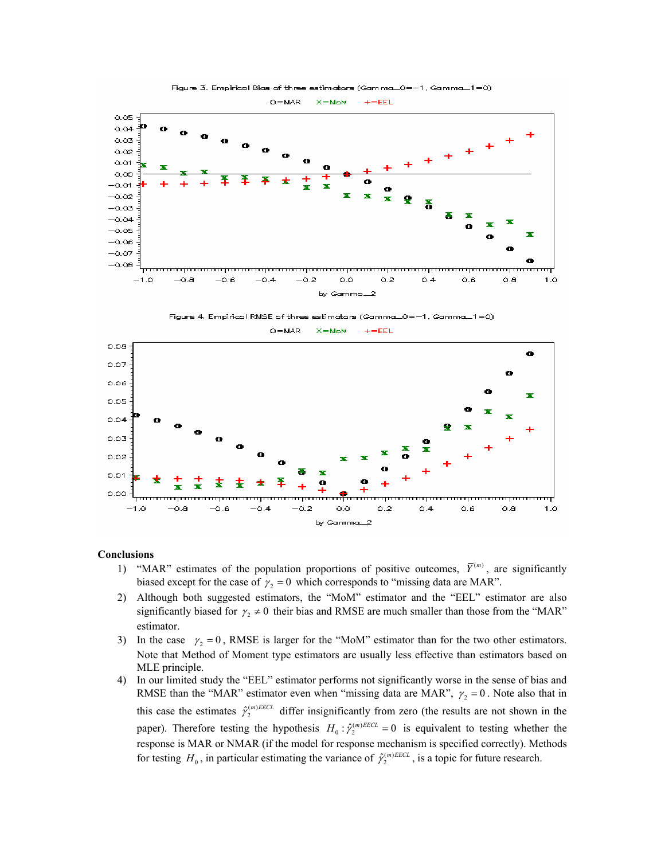

Figure 4. Empirical RMSE of three estimators (Gamma\_0=-1, Gamma\_1=0)



 $O = \text{MAR}$  $+=$ EEL  $X = M \omega M$ 

#### **Conclusions**

- 1) "MAR" estimates of the population proportions of positive outcomes,  $\overline{Y}^{(m)}$ , are significantly biased except for the case of  $\gamma$ , = 0 which corresponds to "missing data are MAR".
- 2) Although both suggested estimators, the "MoM" estimator and the "EEL" estimator are also significantly biased for  $\gamma_2 \neq 0$  their bias and RMSE are much smaller than those from the "MAR" estimator.
- 3) In the case  $\gamma_2 = 0$ , RMSE is larger for the "MoM" estimator than for the two other estimators. Note that Method of Moment type estimators are usually less effective than estimators based on MLE principle.
- 4) In our limited study the "EEL" estimator performs not significantly worse in the sense of bias and RMSE than the "MAR" estimator even when "missing data are MAR",  $\gamma_2 = 0$ . Note also that in this case the estimates  $\hat{\gamma}_2^{(m)EECL}$  differ insignificantly from zero (the results are not shown in the paper). Therefore testing the hypothesis  $H_0 : \hat{\gamma}_2^{(m)EECL} = 0$  is equivalent to testing whether the response is MAR or NMAR (if the model for response mechanism is specified correctly). Methods for testing  $H_0$ , in particular estimating the variance of  $\hat{\gamma}_2^{(m)EECL}$ , is a topic for future research.